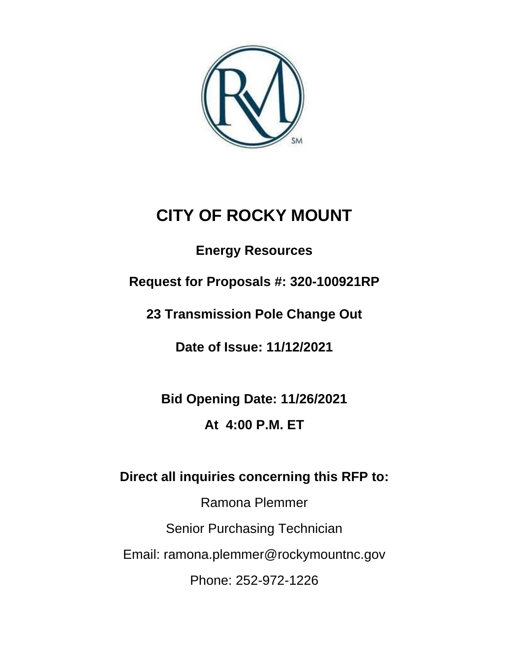

# **CITY OF ROCKY MOUNT**

**Energy Resources**

**Request for Proposals #: 320-100921RP**

**23 Transmission Pole Change Out**

**Date of Issue: 11/12/2021**

**Bid Opening Date: 11/26/2021 At 4:00 P.M. ET**

**Direct all inquiries concerning this RFP to:** 

Ramona Plemmer Senior Purchasing Technician Email: ramona.plemmer@rockymountnc.gov Phone: 252-972-1226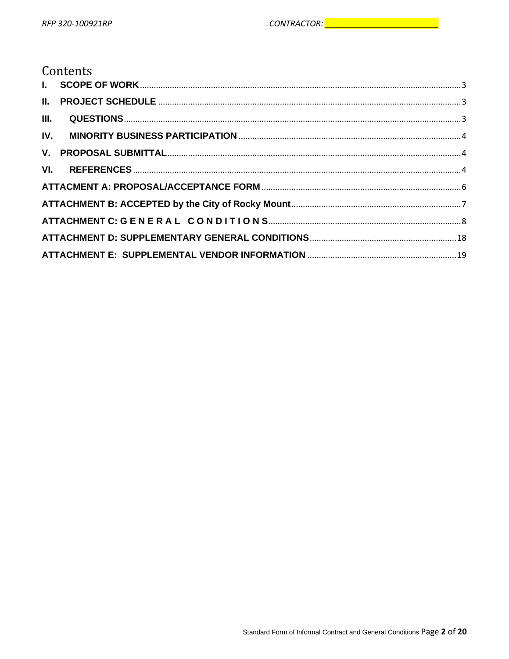# Contents

| III. |  |
|------|--|
|      |  |
|      |  |
|      |  |
|      |  |
|      |  |
|      |  |
|      |  |
|      |  |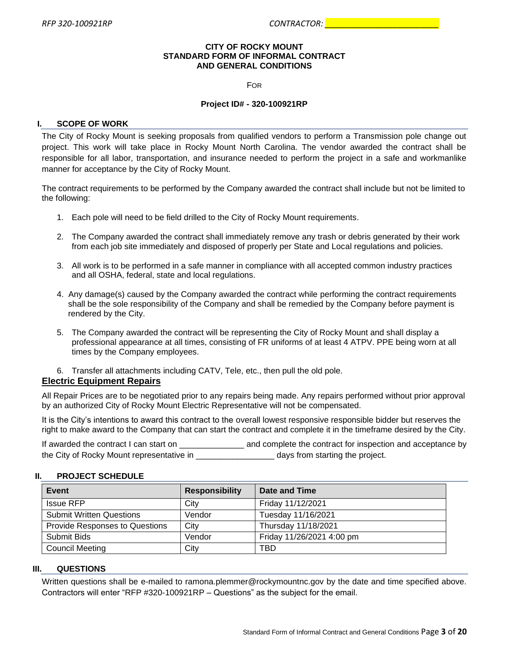#### **CITY OF ROCKY MOUNT STANDARD FORM OF INFORMAL CONTRACT AND GENERAL CONDITIONS**

FOR

#### **Project ID# - 320-100921RP**

#### <span id="page-2-0"></span>**I. SCOPE OF WORK**

The City of Rocky Mount is seeking proposals from qualified vendors to perform a Transmission pole change out project. This work will take place in Rocky Mount North Carolina. The vendor awarded the contract shall be responsible for all labor, transportation, and insurance needed to perform the project in a safe and workmanlike manner for acceptance by the City of Rocky Mount.

The contract requirements to be performed by the Company awarded the contract shall include but not be limited to the following:

- 1. Each pole will need to be field drilled to the City of Rocky Mount requirements.
- 2. The Company awarded the contract shall immediately remove any trash or debris generated by their work from each job site immediately and disposed of properly per State and Local regulations and policies.
- 3. All work is to be performed in a safe manner in compliance with all accepted common industry practices and all OSHA, federal, state and local regulations.
- 4. Any damage(s) caused by the Company awarded the contract while performing the contract requirements shall be the sole responsibility of the Company and shall be remedied by the Company before payment is rendered by the City.
- 5. The Company awarded the contract will be representing the City of Rocky Mount and shall display a professional appearance at all times, consisting of FR uniforms of at least 4 ATPV. PPE being worn at all times by the Company employees.
- 6. Transfer all attachments including CATV, Tele, etc., then pull the old pole.

#### **Electric Equipment Repairs**

All Repair Prices are to be negotiated prior to any repairs being made. Any repairs performed without prior approval by an authorized City of Rocky Mount Electric Representative will not be compensated.

It is the City's intentions to award this contract to the overall lowest responsive responsible bidder but reserves the right to make award to the Company that can start the contract and complete it in the timeframe desired by the City.

If awarded the contract I can start on \_\_\_\_\_\_\_\_\_\_\_\_\_\_\_\_ and complete the contract for inspection and acceptance by the City of Rocky Mount representative in  $\qquad \qquad \qquad$  days from starting the project.

#### <span id="page-2-1"></span>**II. PROJECT SCHEDULE**

| Event                                 | <b>Responsibility</b> | Date and Time             |
|---------------------------------------|-----------------------|---------------------------|
| Issue RFP                             | City                  | Friday 11/12/2021         |
| <b>Submit Written Questions</b>       | Vendor                | Tuesday 11/16/2021        |
| <b>Provide Responses to Questions</b> | City                  | Thursday 11/18/2021       |
| Submit Bids                           | Vendor                | Friday 11/26/2021 4:00 pm |
| <b>Council Meeting</b>                | City                  | TBD                       |

#### <span id="page-2-2"></span>**III. QUESTIONS**

Written questions shall be e-mailed to ramona.plemmer@rockymountnc.gov by the date and time specified above. Contractors will enter "RFP #320-100921RP – Questions" as the subject for the email.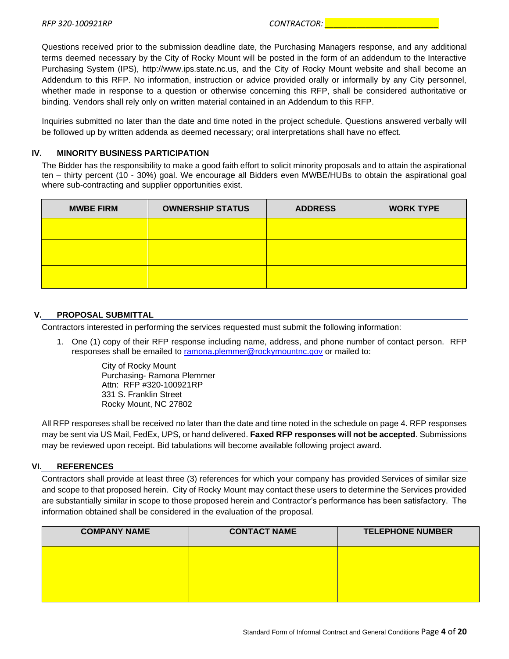Questions received prior to the submission deadline date, the Purchasing Managers response, and any additional terms deemed necessary by the City of Rocky Mount will be posted in the form of an addendum to the Interactive Purchasing System (IPS), http://www.ips.state.nc.us, and the City of Rocky Mount website and shall become an Addendum to this RFP. No information, instruction or advice provided orally or informally by any City personnel, whether made in response to a question or otherwise concerning this RFP, shall be considered authoritative or binding. Vendors shall rely only on written material contained in an Addendum to this RFP.

Inquiries submitted no later than the date and time noted in the project schedule. Questions answered verbally will be followed up by written addenda as deemed necessary; oral interpretations shall have no effect.

# <span id="page-3-0"></span>**IV. MINORITY BUSINESS PARTICIPATION**

The Bidder has the responsibility to make a good faith effort to solicit minority proposals and to attain the aspirational ten – thirty percent (10 - 30%) goal. We encourage all Bidders even MWBE/HUBs to obtain the aspirational goal where sub-contracting and supplier opportunities exist.

| <b>MWBE FIRM</b> | <b>OWNERSHIP STATUS</b> | <b>ADDRESS</b> | <b>WORK TYPE</b> |
|------------------|-------------------------|----------------|------------------|
|                  |                         |                |                  |
|                  |                         |                |                  |
|                  |                         |                |                  |

# <span id="page-3-1"></span>**V. PROPOSAL SUBMITTAL**

Contractors interested in performing the services requested must submit the following information:

1. One (1) copy of their RFP response including name, address, and phone number of contact person. RFP responses shall be emailed to [ramona.plemmer@rockymountnc.gov](mailto:ramona.plemmer@rockymountnc.gov) or mailed to:

> City of Rocky Mount Purchasing- Ramona Plemmer Attn: RFP #320-100921RP 331 S. Franklin Street Rocky Mount, NC 27802

All RFP responses shall be received no later than the date and time noted in the schedule on page 4. RFP responses may be sent via US Mail, FedEx, UPS, or hand delivered. **Faxed RFP responses will not be accepted**. Submissions may be reviewed upon receipt. Bid tabulations will become available following project award.

# <span id="page-3-2"></span>**VI. REFERENCES**

Contractors shall provide at least three (3) references for which your company has provided Services of similar size and scope to that proposed herein. City of Rocky Mount may contact these users to determine the Services provided are substantially similar in scope to those proposed herein and Contractor's performance has been satisfactory. The information obtained shall be considered in the evaluation of the proposal.

| <b>COMPANY NAME</b> | <b>CONTACT NAME</b> | <b>TELEPHONE NUMBER</b> |
|---------------------|---------------------|-------------------------|
|                     |                     |                         |
|                     |                     |                         |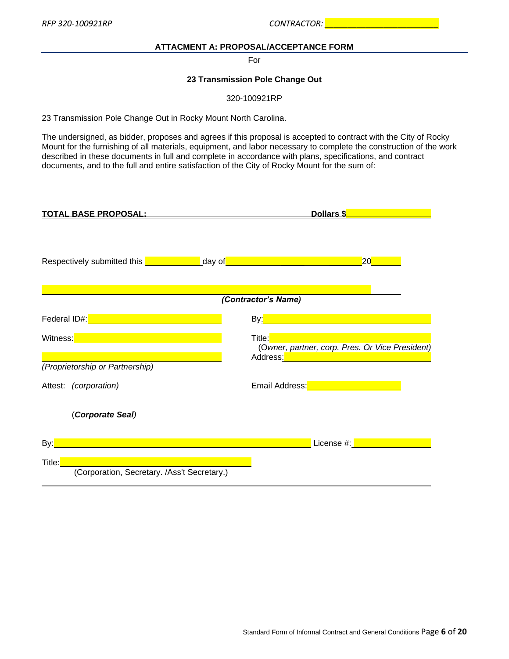# **ATTACMENT A: PROPOSAL/ACCEPTANCE FORM**

For

#### **23 Transmission Pole Change Out**

320-100921RP

<span id="page-5-0"></span>23 Transmission Pole Change Out in Rocky Mount North Carolina.

The undersigned, as bidder, proposes and agrees if this proposal is accepted to contract with the City of Rocky Mount for the furnishing of all materials, equipment, and labor necessary to complete the construction of the work described in these documents in full and complete in accordance with plans, specifications, and contract documents, and to the full and entire satisfaction of the City of Rocky Mount for the sum of:

| <u>TOTAL BASE PROPOSAL:</u>                                                                                                                                                                                                          | Dollars \$                                                                                                                                                                                                      |  |  |  |
|--------------------------------------------------------------------------------------------------------------------------------------------------------------------------------------------------------------------------------------|-----------------------------------------------------------------------------------------------------------------------------------------------------------------------------------------------------------------|--|--|--|
| Respectively submitted this <b>entity of the set of the set of the set of the set of the set of the set of the set of the set of the set of the set of the set of the set of the set of the set of the set of the set of the set</b> |                                                                                                                                                                                                                 |  |  |  |
| (Contractor's Name)                                                                                                                                                                                                                  |                                                                                                                                                                                                                 |  |  |  |
| Federal ID#: Value of the Contract of the Contract of the Contract of the Contract of the Contract of the Contract of the Contract of the Contract of the Contract of the Contract of the Contract of the Contract of the Cont       | By <mark>: http://www.community.com/www.com</mark> munity.com                                                                                                                                                   |  |  |  |
| Witness: <u>Alexander Alexander Alexander Alexander Alexander Alexander Alexander Alexander Alexander Alexander</u>                                                                                                                  | Title: <b>The State of State State State</b><br>(Owner, partner, corp. Pres. Or Vice President)<br>Address <u>: Address: Address: Address: Address: Address: Address: Address: Address: Address: Address: A</u> |  |  |  |
| (Proprietorship or Partnership)                                                                                                                                                                                                      |                                                                                                                                                                                                                 |  |  |  |
| Attest: (corporation)                                                                                                                                                                                                                | Email Address: <b>Contract Address: Contract Address: Contract Address:</b>                                                                                                                                     |  |  |  |
| (Corporate Seal)                                                                                                                                                                                                                     |                                                                                                                                                                                                                 |  |  |  |
| $\mathsf{By:}\n \begin{array}{ c c }\n \hline\n \end{array}$<br><u> 1990 - Johann Stoff, deutscher Stoff, der Stoff, deutscher Stoff, der Stoff, der Stoff, der Stoff, der Stoff</u>                                                 | License #: New York New York 1999                                                                                                                                                                               |  |  |  |
| Title:                                                                                                                                                                                                                               |                                                                                                                                                                                                                 |  |  |  |
| (Corporation, Secretary. /Ass't Secretary.)                                                                                                                                                                                          |                                                                                                                                                                                                                 |  |  |  |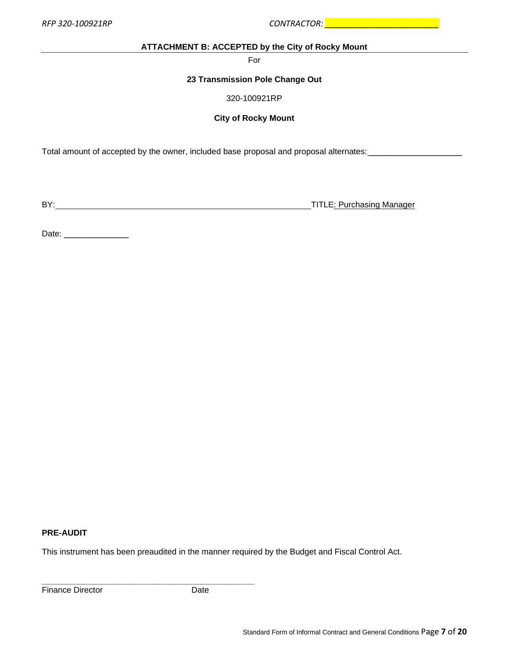<span id="page-6-0"></span>*RFP 320-100921RP CONTRACTOR: \_\_\_\_\_\_\_\_\_\_\_\_\_\_\_\_\_\_\_\_\_\_\_\_\_*

#### **ATTACHMENT B: ACCEPTED by the City of Rocky Mount**

For

# **23 Transmission Pole Change Out**

320-100921RP

#### **City of Rocky Mount**

Total amount of accepted by the owner, included base proposal and proposal alternates: \_\_\_\_\_\_\_\_\_\_\_\_\_\_\_\_\_\_\_\_\_\_\_

BY: TITLE: Purchasing Manager

Date: \_\_\_\_\_\_\_\_\_\_\_\_\_\_

# **PRE-AUDIT**

This instrument has been preaudited in the manner required by the Budget and Fiscal Control Act.

Finance Director **Date** 

**\_\_\_\_\_\_\_\_\_\_\_\_\_\_\_\_\_\_\_\_\_\_\_\_\_\_\_\_\_\_\_\_\_\_\_\_\_\_\_\_\_\_\_\_\_\_**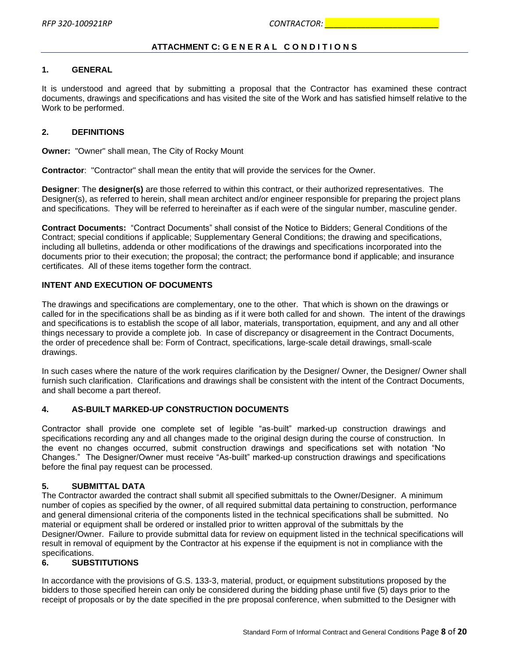# **ATTACHMENT C: G E N E R A L C O N D I T I O N S**

#### <span id="page-7-0"></span>**1. GENERAL**

It is understood and agreed that by submitting a proposal that the Contractor has examined these contract documents, drawings and specifications and has visited the site of the Work and has satisfied himself relative to the Work to be performed.

#### **2. DEFINITIONS**

**Owner:** "Owner" shall mean, The City of Rocky Mount

**Contractor**: "Contractor" shall mean the entity that will provide the services for the Owner.

**Designer**: The **designer(s)** are those referred to within this contract, or their authorized representatives. The Designer(s), as referred to herein, shall mean architect and/or engineer responsible for preparing the project plans and specifications. They will be referred to hereinafter as if each were of the singular number, masculine gender.

**Contract Documents:** "Contract Documents" shall consist of the Notice to Bidders; General Conditions of the Contract; special conditions if applicable; Supplementary General Conditions; the drawing and specifications, including all bulletins, addenda or other modifications of the drawings and specifications incorporated into the documents prior to their execution; the proposal; the contract; the performance bond if applicable; and insurance certificates. All of these items together form the contract.

#### **INTENT AND EXECUTION OF DOCUMENTS**

The drawings and specifications are complementary, one to the other. That which is shown on the drawings or called for in the specifications shall be as binding as if it were both called for and shown. The intent of the drawings and specifications is to establish the scope of all labor, materials, transportation, equipment, and any and all other things necessary to provide a complete job. In case of discrepancy or disagreement in the Contract Documents, the order of precedence shall be: Form of Contract, specifications, large-scale detail drawings, small-scale drawings.

In such cases where the nature of the work requires clarification by the Designer/ Owner, the Designer/ Owner shall furnish such clarification. Clarifications and drawings shall be consistent with the intent of the Contract Documents, and shall become a part thereof.

# **4. AS-BUILT MARKED-UP CONSTRUCTION DOCUMENTS**

Contractor shall provide one complete set of legible "as-built" marked-up construction drawings and specifications recording any and all changes made to the original design during the course of construction. In the event no changes occurred, submit construction drawings and specifications set with notation "No Changes." The Designer/Owner must receive "As-built" marked-up construction drawings and specifications before the final pay request can be processed.

#### **5. SUBMITTAL DATA**

The Contractor awarded the contract shall submit all specified submittals to the Owner/Designer. A minimum number of copies as specified by the owner, of all required submittal data pertaining to construction, performance and general dimensional criteria of the components listed in the technical specifications shall be submitted. No material or equipment shall be ordered or installed prior to written approval of the submittals by the Designer/Owner. Failure to provide submittal data for review on equipment listed in the technical specifications will result in removal of equipment by the Contractor at his expense if the equipment is not in compliance with the specifications.

# **6. SUBSTITUTIONS**

In accordance with the provisions of G.S. 133-3, material, product, or equipment substitutions proposed by the bidders to those specified herein can only be considered during the bidding phase until five (5) days prior to the receipt of proposals or by the date specified in the pre proposal conference, when submitted to the Designer with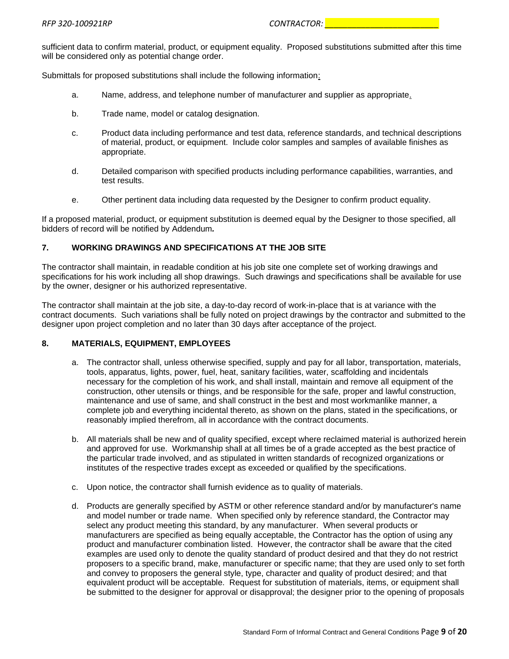sufficient data to confirm material, product, or equipment equality. Proposed substitutions submitted after this time will be considered only as potential change order.

Submittals for proposed substitutions shall include the following information:

- a. Name, address, and telephone number of manufacturer and supplier as appropriate.
- b. Trade name, model or catalog designation.
- c. Product data including performance and test data, reference standards, and technical descriptions of material, product, or equipment. Include color samples and samples of available finishes as appropriate.
- d. Detailed comparison with specified products including performance capabilities, warranties, and test results.
- e. Other pertinent data including data requested by the Designer to confirm product equality.

If a proposed material, product, or equipment substitution is deemed equal by the Designer to those specified, all bidders of record will be notified by Addendum*.*

# **7. WORKING DRAWINGS AND SPECIFICATIONS AT THE JOB SITE**

The contractor shall maintain, in readable condition at his job site one complete set of working drawings and specifications for his work including all shop drawings. Such drawings and specifications shall be available for use by the owner, designer or his authorized representative.

The contractor shall maintain at the job site, a day-to-day record of work-in-place that is at variance with the contract documents. Such variations shall be fully noted on project drawings by the contractor and submitted to the designer upon project completion and no later than 30 days after acceptance of the project.

# **8. MATERIALS, EQUIPMENT, EMPLOYEES**

- a. The contractor shall, unless otherwise specified, supply and pay for all labor, transportation, materials, tools, apparatus, lights, power, fuel, heat, sanitary facilities, water, scaffolding and incidentals necessary for the completion of his work, and shall install, maintain and remove all equipment of the construction, other utensils or things, and be responsible for the safe, proper and lawful construction, maintenance and use of same, and shall construct in the best and most workmanlike manner, a complete job and everything incidental thereto, as shown on the plans, stated in the specifications, or reasonably implied therefrom, all in accordance with the contract documents.
- b. All materials shall be new and of quality specified, except where reclaimed material is authorized herein and approved for use. Workmanship shall at all times be of a grade accepted as the best practice of the particular trade involved, and as stipulated in written standards of recognized organizations or institutes of the respective trades except as exceeded or qualified by the specifications.
- c. Upon notice, the contractor shall furnish evidence as to quality of materials.
- d. Products are generally specified by ASTM or other reference standard and/or by manufacturer's name and model number or trade name. When specified only by reference standard, the Contractor may select any product meeting this standard, by any manufacturer. When several products or manufacturers are specified as being equally acceptable, the Contractor has the option of using any product and manufacturer combination listed. However, the contractor shall be aware that the cited examples are used only to denote the quality standard of product desired and that they do not restrict proposers to a specific brand, make, manufacturer or specific name; that they are used only to set forth and convey to proposers the general style, type, character and quality of product desired; and that equivalent product will be acceptable. Request for substitution of materials, items, or equipment shall be submitted to the designer for approval or disapproval; the designer prior to the opening of proposals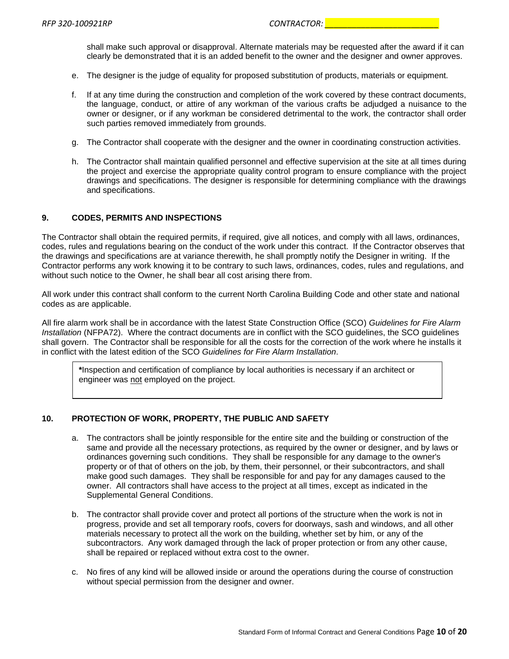shall make such approval or disapproval. Alternate materials may be requested after the award if it can clearly be demonstrated that it is an added benefit to the owner and the designer and owner approves.

- e. The designer is the judge of equality for proposed substitution of products, materials or equipment.
- f. If at any time during the construction and completion of the work covered by these contract documents, the language, conduct, or attire of any workman of the various crafts be adjudged a nuisance to the owner or designer, or if any workman be considered detrimental to the work, the contractor shall order such parties removed immediately from grounds.
- g. The Contractor shall cooperate with the designer and the owner in coordinating construction activities.
- h. The Contractor shall maintain qualified personnel and effective supervision at the site at all times during the project and exercise the appropriate quality control program to ensure compliance with the project drawings and specifications. The designer is responsible for determining compliance with the drawings and specifications.

#### **9. CODES, PERMITS AND INSPECTIONS**

The Contractor shall obtain the required permits, if required, give all notices, and comply with all laws, ordinances, codes, rules and regulations bearing on the conduct of the work under this contract. If the Contractor observes that the drawings and specifications are at variance therewith, he shall promptly notify the Designer in writing. If the Contractor performs any work knowing it to be contrary to such laws, ordinances, codes, rules and regulations, and without such notice to the Owner, he shall bear all cost arising there from.

All work under this contract shall conform to the current North Carolina Building Code and other state and national codes as are applicable.

All fire alarm work shall be in accordance with the latest State Construction Office (SCO) *Guidelines for Fire Alarm Installation* (NFPA72). Where the contract documents are in conflict with the SCO guidelines, the SCO guidelines shall govern. The Contractor shall be responsible for all the costs for the correction of the work where he installs it in conflict with the latest edition of the SCO *Guidelines for Fire Alarm Installation*.

**\***Inspection and certification of compliance by local authorities is necessary if an architect or engineer was not employed on the project.

#### **10. PROTECTION OF WORK, PROPERTY, THE PUBLIC AND SAFETY**

- a. The contractors shall be jointly responsible for the entire site and the building or construction of the same and provide all the necessary protections, as required by the owner or designer, and by laws or ordinances governing such conditions. They shall be responsible for any damage to the owner's property or of that of others on the job, by them, their personnel, or their subcontractors, and shall make good such damages. They shall be responsible for and pay for any damages caused to the owner. All contractors shall have access to the project at all times, except as indicated in the Supplemental General Conditions.
- b. The contractor shall provide cover and protect all portions of the structure when the work is not in progress, provide and set all temporary roofs, covers for doorways, sash and windows, and all other materials necessary to protect all the work on the building, whether set by him, or any of the subcontractors. Any work damaged through the lack of proper protection or from any other cause, shall be repaired or replaced without extra cost to the owner.
- c. No fires of any kind will be allowed inside or around the operations during the course of construction without special permission from the designer and owner.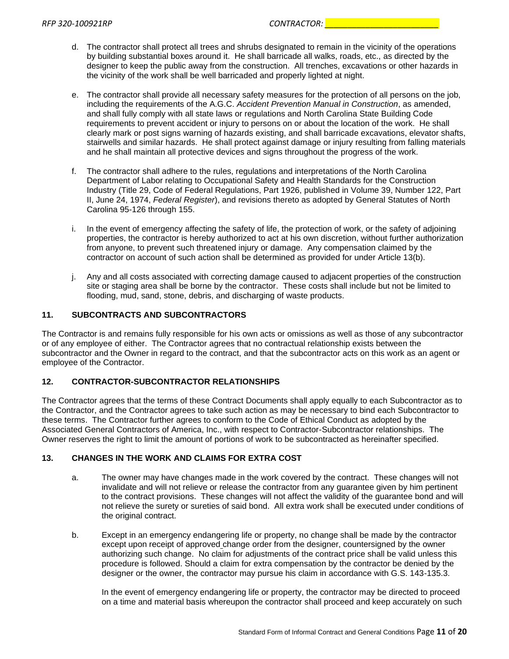- d. The contractor shall protect all trees and shrubs designated to remain in the vicinity of the operations by building substantial boxes around it. He shall barricade all walks, roads, etc., as directed by the designer to keep the public away from the construction. All trenches, excavations or other hazards in the vicinity of the work shall be well barricaded and properly lighted at night.
- e. The contractor shall provide all necessary safety measures for the protection of all persons on the job, including the requirements of the A.G.C. *Accident Prevention Manual in Construction*, as amended, and shall fully comply with all state laws or regulations and North Carolina State Building Code requirements to prevent accident or injury to persons on or about the location of the work. He shall clearly mark or post signs warning of hazards existing, and shall barricade excavations, elevator shafts, stairwells and similar hazards. He shall protect against damage or injury resulting from falling materials and he shall maintain all protective devices and signs throughout the progress of the work.
- f. The contractor shall adhere to the rules, regulations and interpretations of the North Carolina Department of Labor relating to Occupational Safety and Health Standards for the Construction Industry (Title 29, Code of Federal Regulations, Part 1926, published in Volume 39, Number 122, Part II, June 24, 1974, *Federal Register*), and revisions thereto as adopted by General Statutes of North Carolina 95-126 through 155.
- i. In the event of emergency affecting the safety of life, the protection of work, or the safety of adjoining properties, the contractor is hereby authorized to act at his own discretion, without further authorization from anyone, to prevent such threatened injury or damage. Any compensation claimed by the contractor on account of such action shall be determined as provided for under Article 13(b).
- j. Any and all costs associated with correcting damage caused to adjacent properties of the construction site or staging area shall be borne by the contractor. These costs shall include but not be limited to flooding, mud, sand, stone, debris, and discharging of waste products.

#### **11. SUBCONTRACTS AND SUBCONTRACTORS**

The Contractor is and remains fully responsible for his own acts or omissions as well as those of any subcontractor or of any employee of either. The Contractor agrees that no contractual relationship exists between the subcontractor and the Owner in regard to the contract, and that the subcontractor acts on this work as an agent or employee of the Contractor.

# **12. CONTRACTOR-SUBCONTRACTOR RELATIONSHIPS**

The Contractor agrees that the terms of these Contract Documents shall apply equally to each Subcontractor as to the Contractor, and the Contractor agrees to take such action as may be necessary to bind each Subcontractor to these terms. The Contractor further agrees to conform to the Code of Ethical Conduct as adopted by the Associated General Contractors of America, Inc., with respect to Contractor-Subcontractor relationships. The Owner reserves the right to limit the amount of portions of work to be subcontracted as hereinafter specified.

#### **13. CHANGES IN THE WORK AND CLAIMS FOR EXTRA COST**

- a. The owner may have changes made in the work covered by the contract. These changes will not invalidate and will not relieve or release the contractor from any guarantee given by him pertinent to the contract provisions. These changes will not affect the validity of the guarantee bond and will not relieve the surety or sureties of said bond. All extra work shall be executed under conditions of the original contract.
- b. Except in an emergency endangering life or property, no change shall be made by the contractor except upon receipt of approved change order from the designer, countersigned by the owner authorizing such change. No claim for adjustments of the contract price shall be valid unless this procedure is followed. Should a claim for extra compensation by the contractor be denied by the designer or the owner, the contractor may pursue his claim in accordance with G.S. 143-135.3.

In the event of emergency endangering life or property, the contractor may be directed to proceed on a time and material basis whereupon the contractor shall proceed and keep accurately on such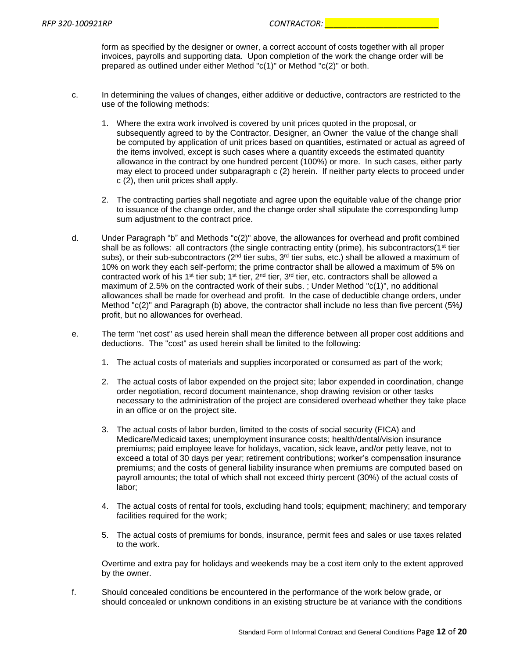form as specified by the designer or owner, a correct account of costs together with all proper invoices, payrolls and supporting data. Upon completion of the work the change order will be prepared as outlined under either Method "c(1)" or Method "c(2)" or both.

- c. In determining the values of changes, either additive or deductive, contractors are restricted to the use of the following methods:
	- 1. Where the extra work involved is covered by unit prices quoted in the proposal, or subsequently agreed to by the Contractor, Designer, an Owner the value of the change shall be computed by application of unit prices based on quantities, estimated or actual as agreed of the items involved, except is such cases where a quantity exceeds the estimated quantity allowance in the contract by one hundred percent (100%) or more. In such cases, either party may elect to proceed under subparagraph c (2) herein. If neither party elects to proceed under c (2), then unit prices shall apply.
	- 2. The contracting parties shall negotiate and agree upon the equitable value of the change prior to issuance of the change order, and the change order shall stipulate the corresponding lump sum adjustment to the contract price.
- d. Under Paragraph "b" and Methods "c(2)" above, the allowances for overhead and profit combined shall be as follows: all contractors (the single contracting entity (prime), his subcontractors( $1<sup>st</sup>$  tier subs), or their sub-subcontractors ( $2<sup>nd</sup>$  tier subs,  $3<sup>rd</sup>$  tier subs, etc.) shall be allowed a maximum of 10% on work they each self-perform; the prime contractor shall be allowed a maximum of 5% on contracted work of his 1<sup>st</sup> tier sub; 1<sup>st</sup> tier,  $2<sup>nd</sup>$  tier, 3<sup>rd</sup> tier, etc. contractors shall be allowed a maximum of 2.5% on the contracted work of their subs. ; Under Method "c(1)", no additional allowances shall be made for overhead and profit. In the case of deductible change orders, under Method "c(2)" and Paragraph (b) above, the contractor shall include no less than five percent (5%*)*  profit, but no allowances for overhead.
- e. The term "net cost" as used herein shall mean the difference between all proper cost additions and deductions. The "cost" as used herein shall be limited to the following:
	- 1. The actual costs of materials and supplies incorporated or consumed as part of the work;
	- 2. The actual costs of labor expended on the project site; labor expended in coordination, change order negotiation, record document maintenance, shop drawing revision or other tasks necessary to the administration of the project are considered overhead whether they take place in an office or on the project site.
	- 3. The actual costs of labor burden, limited to the costs of social security (FICA) and Medicare/Medicaid taxes; unemployment insurance costs; health/dental/vision insurance premiums; paid employee leave for holidays, vacation, sick leave, and/or petty leave, not to exceed a total of 30 days per year; retirement contributions; worker's compensation insurance premiums; and the costs of general liability insurance when premiums are computed based on payroll amounts; the total of which shall not exceed thirty percent (30%) of the actual costs of labor;
	- 4. The actual costs of rental for tools, excluding hand tools; equipment; machinery; and temporary facilities required for the work;
	- 5. The actual costs of premiums for bonds, insurance, permit fees and sales or use taxes related to the work.

Overtime and extra pay for holidays and weekends may be a cost item only to the extent approved by the owner.

f. Should concealed conditions be encountered in the performance of the work below grade, or should concealed or unknown conditions in an existing structure be at variance with the conditions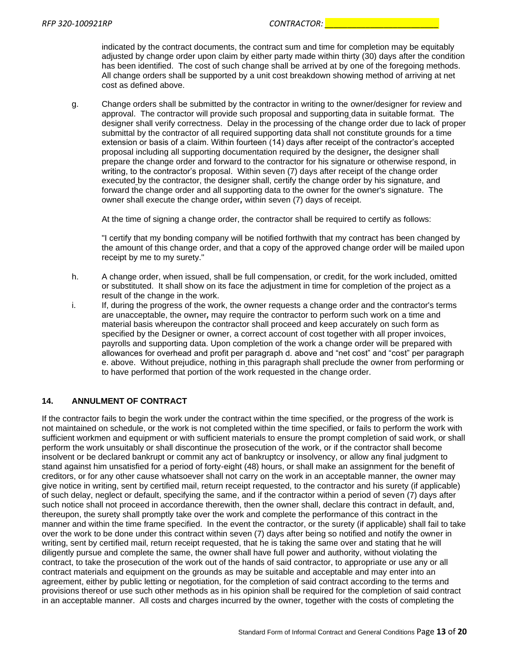indicated by the contract documents, the contract sum and time for completion may be equitably adjusted by change order upon claim by either party made within thirty (30) days after the condition has been identified. The cost of such change shall be arrived at by one of the foregoing methods. All change orders shall be supported by a unit cost breakdown showing method of arriving at net cost as defined above.

g. Change orders shall be submitted by the contractor in writing to the owner/designer for review and approval. The contractor will provide such proposal and supporting data in suitable format. The designer shall verify correctness. Delay in the processing of the change order due to lack of proper submittal by the contractor of all required supporting data shall not constitute grounds for a time extension or basis of a claim. Within fourteen (14) days after receipt of the contractor's accepted proposal including all supporting documentation required by the designer*,* the designer shall prepare the change order and forward to the contractor for his signature or otherwise respond, in writing, to the contractor's proposal. Within seven (7) days after receipt of the change order executed by the contractor, the designer shall, certify the change order by his signature, and forward the change order and all supporting data to the owner for the owner's signature. The owner shall execute the change order*,* within seven (7) days of receipt.

At the time of signing a change order, the contractor shall be required to certify as follows:

"I certify that my bonding company will be notified forthwith that my contract has been changed by the amount of this change order, and that a copy of the approved change order will be mailed upon receipt by me to my surety."

- h. A change order, when issued, shall be full compensation, or credit, for the work included, omitted or substituted. It shall show on its face the adjustment in time for completion of the project as a result of the change in the work.
- i. If, during the progress of the work, the owner requests a change order and the contractor's terms are unacceptable, the owner*,* may require the contractor to perform such work on a time and material basis whereupon the contractor shall proceed and keep accurately on such form as specified by the Designer or owner, a correct account of cost together with all proper invoices, payrolls and supporting data. Upon completion of the work a change order will be prepared with allowances for overhead and profit per paragraph d. above and "net cost" and "cost" per paragraph e. above. Without prejudice, nothing in this paragraph shall preclude the owner from performing or to have performed that portion of the work requested in the change order.

# **14. ANNULMENT OF CONTRACT**

If the contractor fails to begin the work under the contract within the time specified, or the progress of the work is not maintained on schedule, or the work is not completed within the time specified, or fails to perform the work with sufficient workmen and equipment or with sufficient materials to ensure the prompt completion of said work, or shall perform the work unsuitably or shall discontinue the prosecution of the work, or if the contractor shall become insolvent or be declared bankrupt or commit any act of bankruptcy or insolvency, or allow any final judgment to stand against him unsatisfied for a period of forty-eight (48) hours, or shall make an assignment for the benefit of creditors, or for any other cause whatsoever shall not carry on the work in an acceptable manner, the owner may give notice in writing, sent by certified mail, return receipt requested, to the contractor and his surety (if applicable) of such delay, neglect or default, specifying the same, and if the contractor within a period of seven (7) days after such notice shall not proceed in accordance therewith, then the owner shall, declare this contract in default, and, thereupon, the surety shall promptly take over the work and complete the performance of this contract in the manner and within the time frame specified. In the event the contractor, or the surety (if applicable) shall fail to take over the work to be done under this contract within seven (7) days after being so notified and notify the owner in writing, sent by certified mail, return receipt requested, that he is taking the same over and stating that he will diligently pursue and complete the same, the owner shall have full power and authority, without violating the contract, to take the prosecution of the work out of the hands of said contractor, to appropriate or use any or all contract materials and equipment on the grounds as may be suitable and acceptable and may enter into an agreement, either by public letting or negotiation, for the completion of said contract according to the terms and provisions thereof or use such other methods as in his opinion shall be required for the completion of said contract in an acceptable manner. All costs and charges incurred by the owner, together with the costs of completing the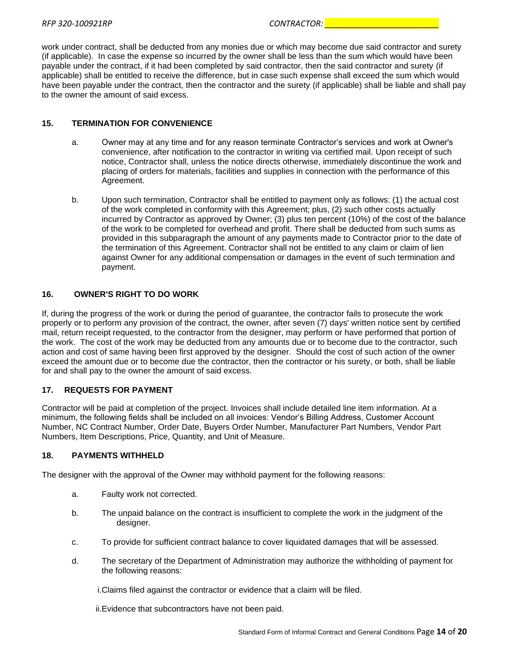work under contract, shall be deducted from any monies due or which may become due said contractor and surety (if applicable). In case the expense so incurred by the owner shall be less than the sum which would have been payable under the contract, if it had been completed by said contractor, then the said contractor and surety (if applicable) shall be entitled to receive the difference, but in case such expense shall exceed the sum which would have been payable under the contract, then the contractor and the surety (if applicable) shall be liable and shall pay to the owner the amount of said excess.

#### **15. TERMINATION FOR CONVENIENCE**

- a. Owner may at any time and for any reason terminate Contractor's services and work at Owner's convenience, after notification to the contractor in writing via certified mail. Upon receipt of such notice, Contractor shall, unless the notice directs otherwise, immediately discontinue the work and placing of orders for materials, facilities and supplies in connection with the performance of this Agreement.
- b. Upon such termination, Contractor shall be entitled to payment only as follows: (1) the actual cost of the work completed in conformity with this Agreement; plus, (2) such other costs actually incurred by Contractor as approved by Owner; (3) plus ten percent (10%) of the cost of the balance of the work to be completed for overhead and profit. There shall be deducted from such sums as provided in this subparagraph the amount of any payments made to Contractor prior to the date of the termination of this Agreement. Contractor shall not be entitled to any claim or claim of lien against Owner for any additional compensation or damages in the event of such termination and payment.

#### **16. OWNER'S RIGHT TO DO WORK**

If, during the progress of the work or during the period of guarantee, the contractor fails to prosecute the work properly or to perform any provision of the contract, the owner, after seven (7) days' written notice sent by certified mail, return receipt requested, to the contractor from the designer, may perform or have performed that portion of the work. The cost of the work may be deducted from any amounts due or to become due to the contractor, such action and cost of same having been first approved by the designer. Should the cost of such action of the owner exceed the amount due or to become due the contractor, then the contractor or his surety, or both, shall be liable for and shall pay to the owner the amount of said excess.

# **17. REQUESTS FOR PAYMENT**

Contractor will be paid at completion of the project. Invoices shall include detailed line item information. At a minimum, the following fields shall be included on all invoices: Vendor's Billing Address, Customer Account Number, NC Contract Number, Order Date, Buyers Order Number, Manufacturer Part Numbers, Vendor Part Numbers, Item Descriptions, Price, Quantity, and Unit of Measure.

#### **18. PAYMENTS WITHHELD**

The designer with the approval of the Owner may withhold payment for the following reasons:

- a. Faulty work not corrected.
- b. The unpaid balance on the contract is insufficient to complete the work in the judgment of the designer.
- c. To provide for sufficient contract balance to cover liquidated damages that will be assessed.
- d. The secretary of the Department of Administration may authorize the withholding of payment for the following reasons:

i.Claims filed against the contractor or evidence that a claim will be filed.

ii.Evidence that subcontractors have not been paid.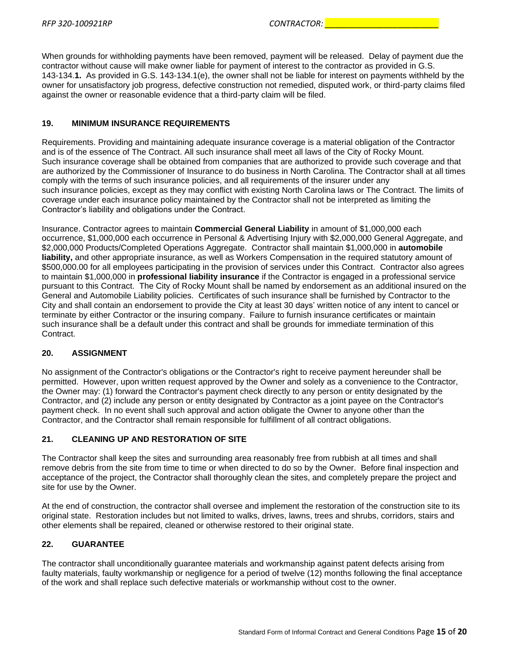When grounds for withholding payments have been removed, payment will be released. Delay of payment due the contractor without cause will make owner liable for payment of interest to the contractor as provided in G.S. 143-134.**1.** As provided in G.S. 143-134.1(e), the owner shall not be liable for interest on payments withheld by the owner for unsatisfactory job progress, defective construction not remedied, disputed work, or third-party claims filed against the owner or reasonable evidence that a third-party claim will be filed.

# **19. MINIMUM INSURANCE REQUIREMENTS**

Requirements. Providing and maintaining adequate insurance coverage is a material obligation of the Contractor and is of the essence of The Contract. All such insurance shall meet all laws of the City of Rocky Mount. Such insurance coverage shall be obtained from companies that are authorized to provide such coverage and that are authorized by the Commissioner of Insurance to do business in North Carolina. The Contractor shall at all times comply with the terms of such insurance policies, and all requirements of the insurer under any such insurance policies, except as they may conflict with existing North Carolina laws or The Contract. The limits of coverage under each insurance policy maintained by the Contractor shall not be interpreted as limiting the Contractor's liability and obligations under the Contract.

Insurance. Contractor agrees to maintain **Commercial General Liability** in amount of \$1,000,000 each occurrence, \$1,000,000 each occurrence in Personal & Advertising Injury with \$2,000,000 General Aggregate, and \$2,000,000 Products/Completed Operations Aggregate. Contractor shall maintain \$1,000,000 in **automobile liability,** and other appropriate insurance, as well as Workers Compensation in the required statutory amount of \$500,000.00 for all employees participating in the provision of services under this Contract. Contractor also agrees to maintain \$1,000,000 in **professional liability insurance** if the Contractor is engaged in a professional service pursuant to this Contract. The City of Rocky Mount shall be named by endorsement as an additional insured on the General and Automobile Liability policies. Certificates of such insurance shall be furnished by Contractor to the City and shall contain an endorsement to provide the City at least 30 days' written notice of any intent to cancel or terminate by either Contractor or the insuring company. Failure to furnish insurance certificates or maintain such insurance shall be a default under this contract and shall be grounds for immediate termination of this Contract.

# **20. ASSIGNMENT**

No assignment of the Contractor's obligations or the Contractor's right to receive payment hereunder shall be permitted. However, upon written request approved by the Owner and solely as a convenience to the Contractor, the Owner may: (1) forward the Contractor's payment check directly to any person or entity designated by the Contractor, and (2) include any person or entity designated by Contractor as a joint payee on the Contractor's payment check. In no event shall such approval and action obligate the Owner to anyone other than the Contractor, and the Contractor shall remain responsible for fulfillment of all contract obligations.

# **21. CLEANING UP AND RESTORATION OF SITE**

The Contractor shall keep the sites and surrounding area reasonably free from rubbish at all times and shall remove debris from the site from time to time or when directed to do so by the Owner. Before final inspection and acceptance of the project, the Contractor shall thoroughly clean the sites, and completely prepare the project and site for use by the Owner.

At the end of construction, the contractor shall oversee and implement the restoration of the construction site to its original state. Restoration includes but not limited to walks, drives, lawns, trees and shrubs, corridors, stairs and other elements shall be repaired, cleaned or otherwise restored to their original state.

# **22. GUARANTEE**

The contractor shall unconditionally guarantee materials and workmanship against patent defects arising from faulty materials, faulty workmanship or negligence for a period of twelve (12) months following the final acceptance of the work and shall replace such defective materials or workmanship without cost to the owner.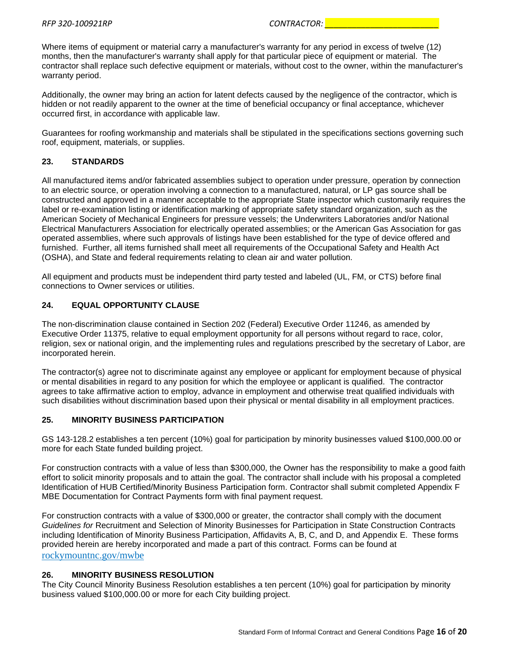Where items of equipment or material carry a manufacturer's warranty for any period in excess of twelve (12) months, then the manufacturer's warranty shall apply for that particular piece of equipment or material. The contractor shall replace such defective equipment or materials, without cost to the owner, within the manufacturer's warranty period.

Additionally, the owner may bring an action for latent defects caused by the negligence of the contractor, which is hidden or not readily apparent to the owner at the time of beneficial occupancy or final acceptance, whichever occurred first, in accordance with applicable law.

Guarantees for roofing workmanship and materials shall be stipulated in the specifications sections governing such roof, equipment, materials, or supplies.

# **23. STANDARDS**

All manufactured items and/or fabricated assemblies subject to operation under pressure, operation by connection to an electric source, or operation involving a connection to a manufactured, natural, or LP gas source shall be constructed and approved in a manner acceptable to the appropriate State inspector which customarily requires the label or re-examination listing or identification marking of appropriate safety standard organization, such as the American Society of Mechanical Engineers for pressure vessels; the Underwriters Laboratories and/or National Electrical Manufacturers Association for electrically operated assemblies; or the American Gas Association for gas operated assemblies, where such approvals of listings have been established for the type of device offered and furnished. Further, all items furnished shall meet all requirements of the Occupational Safety and Health Act (OSHA), and State and federal requirements relating to clean air and water pollution.

All equipment and products must be independent third party tested and labeled (UL, FM, or CTS) before final connections to Owner services or utilities.

# **24. EQUAL OPPORTUNITY CLAUSE**

The non-discrimination clause contained in Section 202 (Federal) Executive Order 11246, as amended by Executive Order 11375, relative to equal employment opportunity for all persons without regard to race, color, religion, sex or national origin, and the implementing rules and regulations prescribed by the secretary of Labor, are incorporated herein.

The contractor(s) agree not to discriminate against any employee or applicant for employment because of physical or mental disabilities in regard to any position for which the employee or applicant is qualified. The contractor agrees to take affirmative action to employ, advance in employment and otherwise treat qualified individuals with such disabilities without discrimination based upon their physical or mental disability in all employment practices.

#### **25. MINORITY BUSINESS PARTICIPATION**

GS 143-128.2 establishes a ten percent (10%) goal for participation by minority businesses valued \$100,000.00 or more for each State funded building project.

For construction contracts with a value of less than \$300,000, the Owner has the responsibility to make a good faith effort to solicit minority proposals and to attain the goal. The contractor shall include with his proposal a completed Identification of HUB Certified/Minority Business Participation form. Contractor shall submit completed Appendix F MBE Documentation for Contract Payments form with final payment request.

For construction contracts with a value of \$300,000 or greater, the contractor shall comply with the document *Guidelines for* Recruitment and Selection of Minority Businesses for Participation in State Construction Contracts including Identification of Minority Business Participation, Affidavits A, B, C, and D, and Appendix E. These forms provided herein are hereby incorporated and made a part of this contract. Forms can be found at rockymountnc.gov/mwbe

# **26. MINORITY BUSINESS RESOLUTION**

The City Council Minority Business Resolution establishes a ten percent (10%) goal for participation by minority business valued \$100,000.00 or more for each City building project.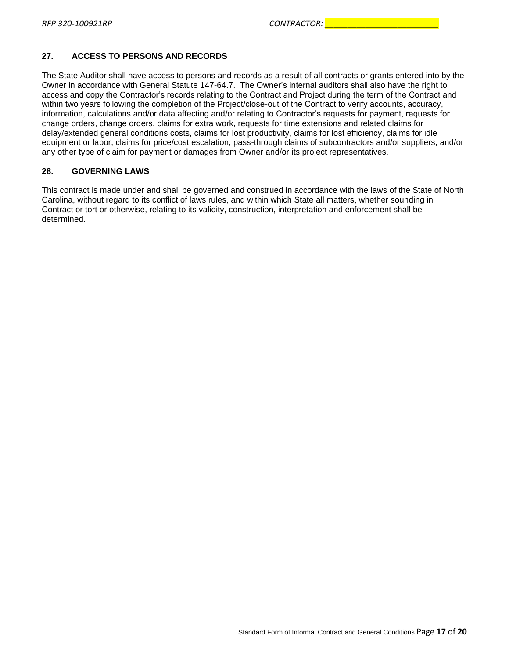# **27. ACCESS TO PERSONS AND RECORDS**

The State Auditor shall have access to persons and records as a result of all contracts or grants entered into by the Owner in accordance with General Statute 147-64.7. The Owner's internal auditors shall also have the right to access and copy the Contractor's records relating to the Contract and Project during the term of the Contract and within two years following the completion of the Project/close-out of the Contract to verify accounts, accuracy, information, calculations and/or data affecting and/or relating to Contractor's requests for payment, requests for change orders, change orders, claims for extra work, requests for time extensions and related claims for delay/extended general conditions costs, claims for lost productivity, claims for lost efficiency, claims for idle equipment or labor, claims for price/cost escalation, pass-through claims of subcontractors and/or suppliers, and/or any other type of claim for payment or damages from Owner and/or its project representatives.

#### **28. GOVERNING LAWS**

This contract is made under and shall be governed and construed in accordance with the laws of the State of North Carolina, without regard to its conflict of laws rules, and within which State all matters, whether sounding in Contract or tort or otherwise, relating to its validity, construction, interpretation and enforcement shall be determined.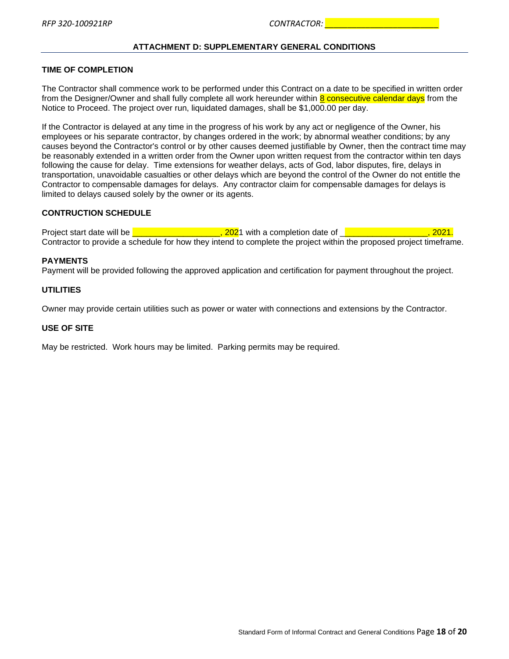# **ATTACHMENT D: SUPPLEMENTARY GENERAL CONDITIONS**

#### <span id="page-17-0"></span>**TIME OF COMPLETION**

The Contractor shall commence work to be performed under this Contract on a date to be specified in written order from the Designer/Owner and shall fully complete all work hereunder within 8 consecutive calendar days from the Notice to Proceed. The project over run, liquidated damages, shall be \$1,000.00 per day.

If the Contractor is delayed at any time in the progress of his work by any act or negligence of the Owner, his employees or his separate contractor, by changes ordered in the work; by abnormal weather conditions; by any causes beyond the Contractor's control or by other causes deemed justifiable by Owner, then the contract time may be reasonably extended in a written order from the Owner upon written request from the contractor within ten days following the cause for delay. Time extensions for weather delays, acts of God, labor disputes, fire, delays in transportation, unavoidable casualties or other delays which are beyond the control of the Owner do not entitle the Contractor to compensable damages for delays. Any contractor claim for compensable damages for delays is limited to delays caused solely by the owner or its agents.

#### **CONTRUCTION SCHEDULE**

Project start date will be <u>December 2002</u>1 with a completion date of <u>December 2001.</u> 2021. Contractor to provide a schedule for how they intend to complete the project within the proposed project timeframe.

#### **PAYMENTS**

Payment will be provided following the approved application and certification for payment throughout the project.

#### **UTILITIES**

Owner may provide certain utilities such as power or water with connections and extensions by the Contractor.

#### **USE OF SITE**

May be restricted. Work hours may be limited. Parking permits may be required.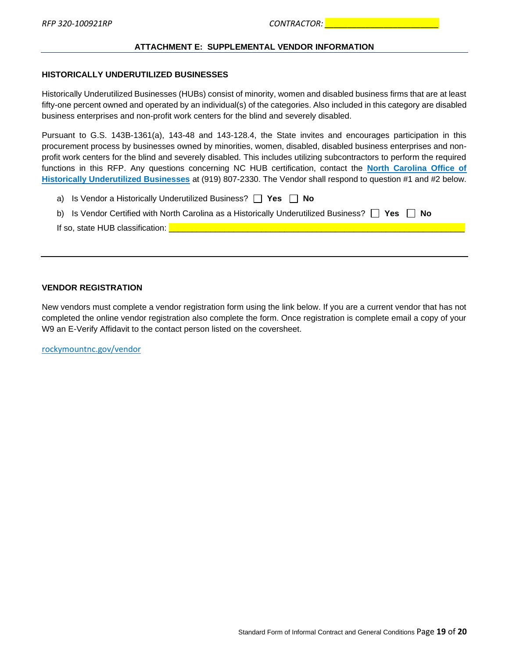#### **ATTACHMENT E: SUPPLEMENTAL VENDOR INFORMATION**

#### <span id="page-18-0"></span>**HISTORICALLY UNDERUTILIZED BUSINESSES**

Historically Underutilized Businesses (HUBs) consist of minority, women and disabled business firms that are at least fifty-one percent owned and operated by an individual(s) of the categories. Also included in this category are disabled business enterprises and non-profit work centers for the blind and severely disabled.

Pursuant to G.S. 143B-1361(a), 143-48 and 143-128.4, the State invites and encourages participation in this procurement process by businesses owned by minorities, women, disabled, disabled business enterprises and nonprofit work centers for the blind and severely disabled. This includes utilizing subcontractors to perform the required functions in this RFP. Any questions concerning NC HUB certification, contact the **[North Carolina Office of](http://ncadmin.nc.gov/businesses/hub)  [Historically Underutilized Businesses](http://ncadmin.nc.gov/businesses/hub)** at (919) 807-2330. The Vendor shall respond to question #1 and #2 below.

a) Is Vendor a Historically Underutilized Business? **Yes No**

|  | b) Is Vendor Certified with North Carolina as a Historically Underutilized Business? $\Box$ Yes $\Box$ No |  |  |  |  |
|--|-----------------------------------------------------------------------------------------------------------|--|--|--|--|
|--|-----------------------------------------------------------------------------------------------------------|--|--|--|--|

If so, state HUB classification: \_\_\_\_\_\_\_\_\_\_\_\_\_\_\_\_\_\_\_\_\_\_\_\_\_\_\_\_\_\_\_\_\_\_\_\_\_\_\_\_\_\_\_\_\_\_\_\_\_\_\_\_\_\_\_\_\_\_\_\_\_\_\_\_

#### **VENDOR REGISTRATION**

New vendors must complete a vendor registration form using the link below. If you are a current vendor that has not completed the online vendor registration also complete the form. Once registration is complete email a copy of your W9 an E-Verify Affidavit to the contact person listed on the coversheet.

rockymountnc.gov/vendor